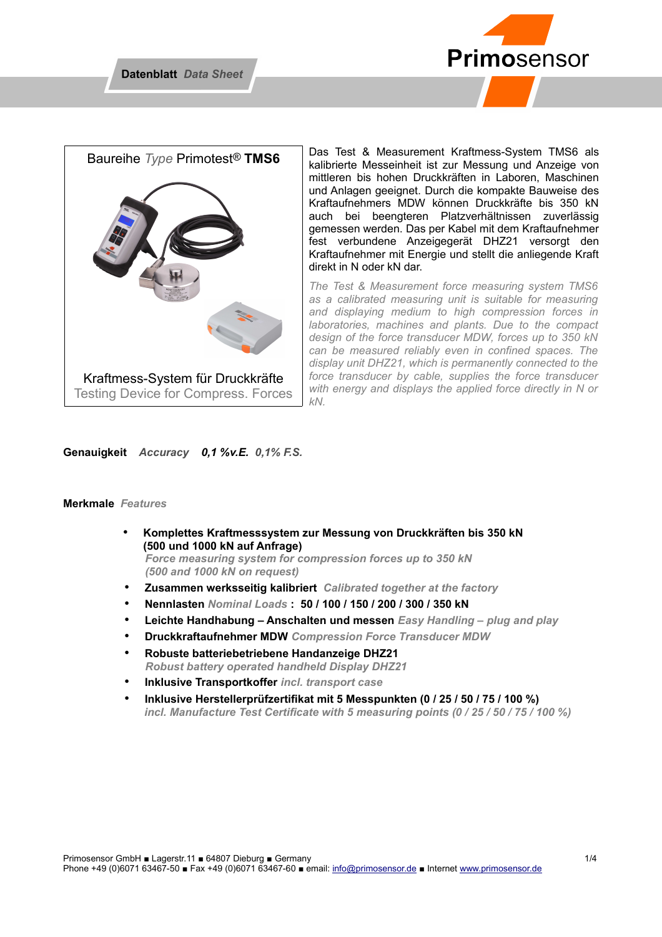



Das Test & Measurement Kraftmess-System TMS6 als kalibrierte Messeinheit ist zur Messung und Anzeige von mittleren bis hohen Druckkräften in Laboren, Maschinen und Anlagen geeignet. Durch die kompakte Bauweise des Kraftaufnehmers MDW können Druckkräfte bis 350 kN auch bei beengteren Platzverhältnissen zuverlässig gemessen werden. Das per Kabel mit dem Kraftaufnehmer fest verbundene Anzeigegerät DHZ21 versorgt den Kraftaufnehmer mit Energie und stellt die anliegende Kraft direkt in N oder kN dar.

*The Test & Measurement force measuring system TMS6 as a calibrated measuring unit is suitable for measuring and displaying medium to high compression forces in laboratories, machines and plants. Due to the compact design of the force transducer MDW, forces up to 350 kN can be measured reliably even in confined spaces. The display unit DHZ21, which is permanently connected to the force transducer by cable, supplies the force transducer with energy and displays the applied force directly in N or kN.* 

### **Genauigkeit** *Accuracy 0,1 %v.E. 0,1% F.S.*

#### **Merkmale** *Features*

- **Komplettes Kraftmesssystem zur Messung von Druckkräften bis 350 kN (500 und 1000 kN auf Anfrage)**  *Force measuring system for compression forces up to 350 kN (500 and 1000 kN on request)*
- **Zusammen werksseitig kalibriert** *Calibrated together at the factory*
- **Nennlasten** *Nominal Loads* **: 50 / 100 / 150 / 200 / 300 / 350 kN**
- **Leichte Handhabung Anschalten und messen** *Easy Handling plug and play*
- **Druckkraftaufnehmer MDW** *Compression Force Transducer MDW*
- **Robuste batteriebetriebene Handanzeige DHZ21**  *Robust battery operated handheld Display DHZ21*
- **Inklusive Transportkoffer** *incl. transport case*
- **Inklusive Herstellerprüfzertifikat mit 5 Messpunkten (0 / 25 / 50 / 75 / 100 %)** *incl. Manufacture Test Certificate with 5 measuring points (0 / 25 / 50 / 75 / 100 %)*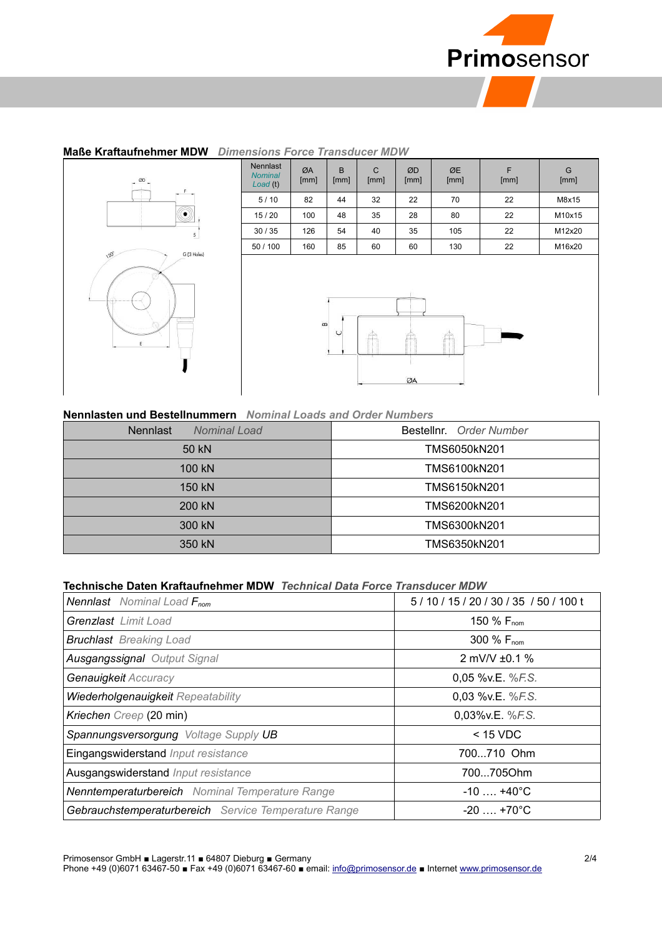

## **Maße Kraftaufnehmer MDW** *Dimensions Force Transducer MDW*



| <b>Nennlast</b><br><b>Nominal</b><br>Load (t) | ØA<br>[mm] | B<br>[mm] | $\mathsf{C}$<br>[mm] | ØD<br>[mm] | ØE<br>[mm] | F<br>[mm] | G<br>[mm] |
|-----------------------------------------------|------------|-----------|----------------------|------------|------------|-----------|-----------|
| 5/10                                          | 82         | 44        | 32                   | 22         | 70         | 22        | M8x15     |
| 15/20                                         | 100        | 48        | 35                   | 28         | 80         | 22        | M10x15    |
| 30/35                                         | 126        | 54        | 40                   | 35         | 105        | 22        | M12x20    |
| 50 / 100                                      | 160        | 85        | 60                   | 60         | 130        | 22        | M16x20    |
|                                               | $\infty$   |           |                      |            |            |           |           |
|                                               |            | $\cup$    |                      | ØA         |            |           |           |

#### **Nennlasten und Bestellnummern** *Nominal Loads and Order Numbers*

| <b>Nennlast</b><br><b>Nominal Load</b> | Bestellnr. Order Number |  |
|----------------------------------------|-------------------------|--|
| 50 kN                                  | TMS6050kN201            |  |
| $100 \text{ kN}$                       | TMS6100kN201            |  |
| 150 kN                                 | TMS6150kN201            |  |
| 200 kN                                 | TMS6200kN201            |  |
| 300 kN                                 | TMS6300kN201            |  |
| 350 kN                                 | TMS6350kN201            |  |

## **Technische Daten Kraftaufnehmer MDW** *Technical Data Force Transducer MDW*

| <b>Nennlast</b> Nominal Load $F_{nom}$                 | 5/10/15/20/30/35/50/100t |  |
|--------------------------------------------------------|--------------------------|--|
| <b>Grenzlast</b> Limit Load                            | 150 $%$ F <sub>nom</sub> |  |
| <b>Bruchlast</b> Breaking Load                         | 300 % F <sub>nom</sub>   |  |
| <b>Ausgangssignal Output Signal</b>                    | 2 mV/V $\pm$ 0.1 %       |  |
| Genauigkeit Accuracy                                   | 0,05 %v.E. %F.S.         |  |
| Wiederholgenauigkeit Repeatability                     | 0,03 %v.E. %F.S.         |  |
| Kriechen Creep (20 min)                                | 0.03% v.E. %F.S.         |  |
| Spannungsversorgung Voltage Supply UB                  | $<$ 15 VDC               |  |
| Eingangswiderstand Input resistance                    | 700710 Ohm               |  |
| Ausgangswiderstand Input resistance                    | 700705Ohm                |  |
| <b>Nenntemperaturbereich</b> Nominal Temperature Range | $-10$ $+40^{\circ}$ C    |  |
| Gebrauchstemperaturbereich Service Temperature Range   | $-20$ $+70^{\circ}$ C    |  |

Primosensor GmbH ■ Lagerstr.11 ■ 64807 Dieburg ■ Germany 2/4

Phone +49 (0)6071 63467-50 ■ Fax +49 (0)6071 63467-60 ■ email: [info@primosensor.de](mailto:info@primosensor.de) ■ Internet [www.primosensor.de](http://www.primosensor.de/)

 $\overline{\phantom{a}}$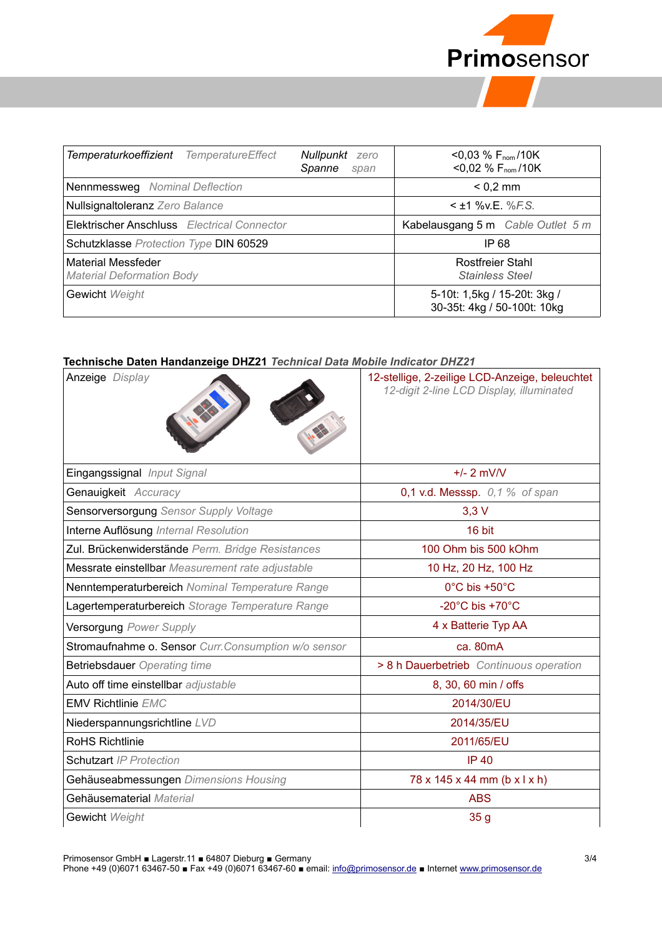

| <b>TemperatureEffect</b><br>Temperaturkoeffizient             | Nullpunkt<br>zero<br>Spanne<br>span               | $<$ 0,03 % F <sub>nom</sub> /10K<br>$<$ 0,02 % F <sub>nom</sub> /10K |
|---------------------------------------------------------------|---------------------------------------------------|----------------------------------------------------------------------|
| Nennmessweg Nominal Deflection                                |                                                   | $< 0.2$ mm                                                           |
| Nullsignaltoleranz Zero Balance                               | $<$ ±1 % v.E. % F.S.                              |                                                                      |
| Elektrischer Anschluss Electrical Connector                   | Kabelausgang 5 m Cable Outlet 5 m                 |                                                                      |
| Schutzklasse Protection Type DIN 60529                        | IP 68                                             |                                                                      |
| <b>Material Messfeder</b><br><b>Material Deformation Body</b> | <b>Rostfreier Stahl</b><br><b>Stainless Steel</b> |                                                                      |
| Gewicht Weight                                                |                                                   | 5-10t: 1,5kg / 15-20t: 3kg /<br>30-35t: 4kg / 50-100t: 10kg          |

## **Technische Daten Handanzeige DHZ21** *Technical Data Mobile Indicator DHZ21*

| <b>CUMBULE DAGIT HARABETYC DHEET</b> TCUMICAI DAG MODILE MACALOT DHEET<br>Anzeige Display | 12-stellige, 2-zeilige LCD-Anzeige, beleuchtet<br>12-digit 2-line LCD Display, illuminated |
|-------------------------------------------------------------------------------------------|--------------------------------------------------------------------------------------------|
| Eingangssignal Input Signal                                                               | $+/- 2$ mV/V                                                                               |
| Genauigkeit Accuracy                                                                      | 0,1 v.d. Messsp. 0,1 % of span                                                             |
| Sensorversorgung Sensor Supply Voltage                                                    | $3,3$ V                                                                                    |
| Interne Auflösung Internal Resolution                                                     | 16 bit                                                                                     |
| Zul. Brückenwiderstände Perm. Bridge Resistances                                          | 100 Ohm bis 500 kOhm                                                                       |
| Messrate einstellbar Measurement rate adjustable                                          | 10 Hz, 20 Hz, 100 Hz                                                                       |
| Nenntemperaturbereich Nominal Temperature Range                                           | 0°C bis +50°C                                                                              |
| Lagertemperaturbereich Storage Temperature Range                                          | -20 $^{\circ}$ C bis +70 $^{\circ}$ C                                                      |
| Versorgung Power Supply                                                                   | 4 x Batterie Typ AA                                                                        |
| Stromaufnahme o. Sensor Curr. Consumption w/o sensor                                      | ca. 80mA                                                                                   |
| <b>Betriebsdauer</b> Operating time                                                       | > 8 h Dauerbetrieb Continuous operation                                                    |
| Auto off time einstellbar adjustable                                                      | 8, 30, 60 min / offs                                                                       |
| <b>EMV Richtlinie EMC</b>                                                                 | 2014/30/EU                                                                                 |
| Niederspannungsrichtline LVD                                                              | 2014/35/EU                                                                                 |
| <b>RoHS Richtlinie</b>                                                                    | 2011/65/EU                                                                                 |
| <b>Schutzart IP Protection</b>                                                            | <b>IP 40</b>                                                                               |
| Gehäuseabmessungen Dimensions Housing                                                     | 78 x 145 x 44 mm (b x l x h)                                                               |
| Gehäusematerial Material                                                                  | <b>ABS</b>                                                                                 |
| Gewicht Weight                                                                            | 35 <sub>g</sub>                                                                            |

Primosensor GmbH ■ Lagerstr.11 ■ 64807 Dieburg ■ Germany 3/4

Phone +49 (0)6071 63467-50 ■ Fax +49 (0)6071 63467-60 ■ email: [info@primosensor.de](mailto:info@primosensor.de) ■ Internet [www.primosensor.de](http://www.primosensor.de/)